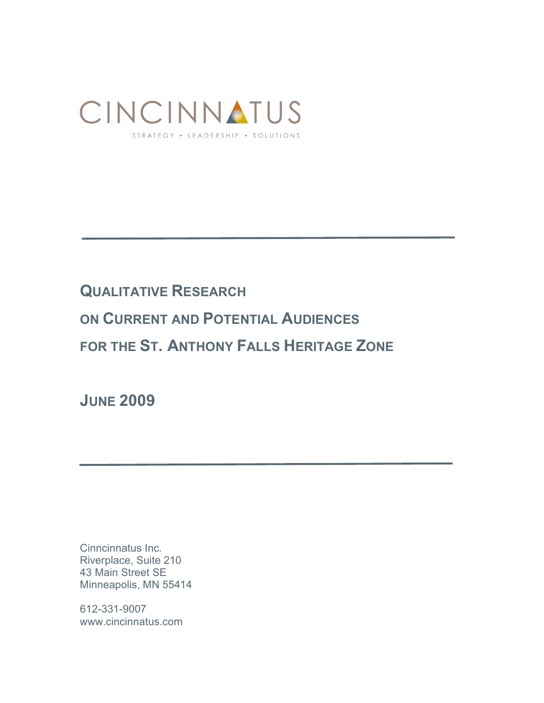

# **QUALITATIVE RESEARCH**

**ON CURRENT AND POTENTIAL AUDIENCES** 

**FOR THE ST. ANTHONY FALLS HERITAGE ZONE**

**JUNE 2009**

Cinncinnatus Inc. Riverplace, Suite 210 43 Main Street SE Minneapolis, MN 55414

612-331-9007 www.cincinnatus.com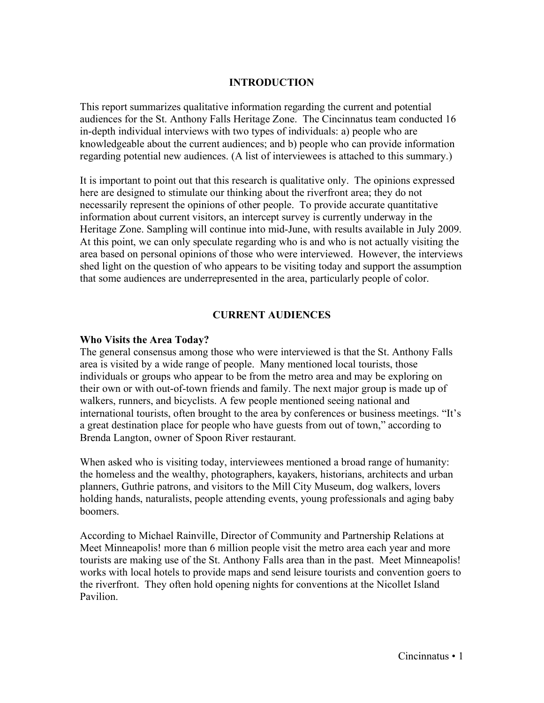#### **INTRODUCTION**

This report summarizes qualitative information regarding the current and potential audiences for the St. Anthony Falls Heritage Zone. The Cincinnatus team conducted 16 in-depth individual interviews with two types of individuals: a) people who are knowledgeable about the current audiences; and b) people who can provide information regarding potential new audiences. (A list of interviewees is attached to this summary.)

It is important to point out that this research is qualitative only. The opinions expressed here are designed to stimulate our thinking about the riverfront area; they do not necessarily represent the opinions of other people. To provide accurate quantitative information about current visitors, an intercept survey is currently underway in the Heritage Zone. Sampling will continue into mid-June, with results available in July 2009. At this point, we can only speculate regarding who is and who is not actually visiting the area based on personal opinions of those who were interviewed. However, the interviews shed light on the question of who appears to be visiting today and support the assumption that some audiences are underrepresented in the area, particularly people of color.

#### **CURRENT AUDIENCES**

#### **Who Visits the Area Today?**

The general consensus among those who were interviewed is that the St. Anthony Falls area is visited by a wide range of people. Many mentioned local tourists, those individuals or groups who appear to be from the metro area and may be exploring on their own or with out-of-town friends and family. The next major group is made up of walkers, runners, and bicyclists. A few people mentioned seeing national and international tourists, often brought to the area by conferences or business meetings. "It's a great destination place for people who have guests from out of town," according to Brenda Langton, owner of Spoon River restaurant.

When asked who is visiting today, interviewees mentioned a broad range of humanity: the homeless and the wealthy, photographers, kayakers, historians, architects and urban planners, Guthrie patrons, and visitors to the Mill City Museum, dog walkers, lovers holding hands, naturalists, people attending events, young professionals and aging baby boomers.

According to Michael Rainville, Director of Community and Partnership Relations at Meet Minneapolis! more than 6 million people visit the metro area each year and more tourists are making use of the St. Anthony Falls area than in the past. Meet Minneapolis! works with local hotels to provide maps and send leisure tourists and convention goers to the riverfront. They often hold opening nights for conventions at the Nicollet Island Pavilion.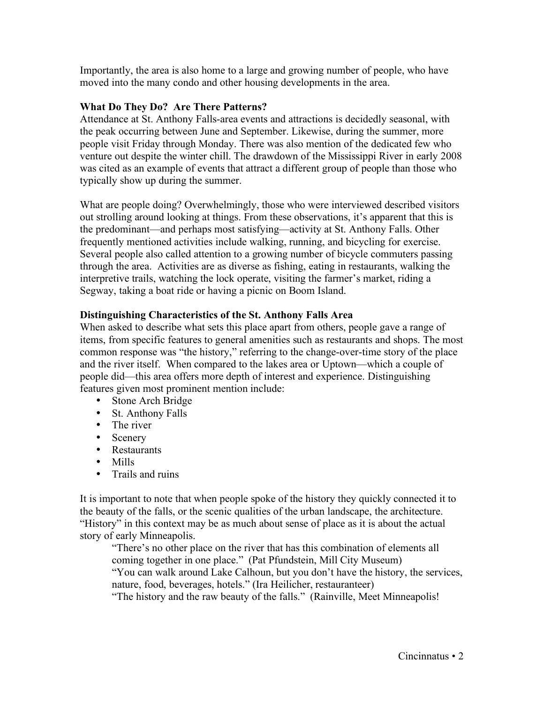Importantly, the area is also home to a large and growing number of people, who have moved into the many condo and other housing developments in the area.

## **What Do They Do? Are There Patterns?**

Attendance at St. Anthony Falls-area events and attractions is decidedly seasonal, with the peak occurring between June and September. Likewise, during the summer, more people visit Friday through Monday. There was also mention of the dedicated few who venture out despite the winter chill. The drawdown of the Mississippi River in early 2008 was cited as an example of events that attract a different group of people than those who typically show up during the summer.

What are people doing? Overwhelmingly, those who were interviewed described visitors out strolling around looking at things. From these observations, it's apparent that this is the predominant—and perhaps most satisfying—activity at St. Anthony Falls. Other frequently mentioned activities include walking, running, and bicycling for exercise. Several people also called attention to a growing number of bicycle commuters passing through the area. Activities are as diverse as fishing, eating in restaurants, walking the interpretive trails, watching the lock operate, visiting the farmer's market, riding a Segway, taking a boat ride or having a picnic on Boom Island.

## **Distinguishing Characteristics of the St. Anthony Falls Area**

When asked to describe what sets this place apart from others, people gave a range of items, from specific features to general amenities such as restaurants and shops. The most common response was "the history," referring to the change-over-time story of the place and the river itself. When compared to the lakes area or Uptown—which a couple of people did—this area offers more depth of interest and experience. Distinguishing features given most prominent mention include:

- Stone Arch Bridge
- St. Anthony Falls
- The river
- Scenery
- Restaurants
- Mills
- Trails and ruins

It is important to note that when people spoke of the history they quickly connected it to the beauty of the falls, or the scenic qualities of the urban landscape, the architecture. "History" in this context may be as much about sense of place as it is about the actual story of early Minneapolis.

"There's no other place on the river that has this combination of elements all coming together in one place." (Pat Pfundstein, Mill City Museum) "You can walk around Lake Calhoun, but you don't have the history, the services, nature, food, beverages, hotels." (Ira Heilicher, restauranteer) "The history and the raw beauty of the falls." (Rainville, Meet Minneapolis!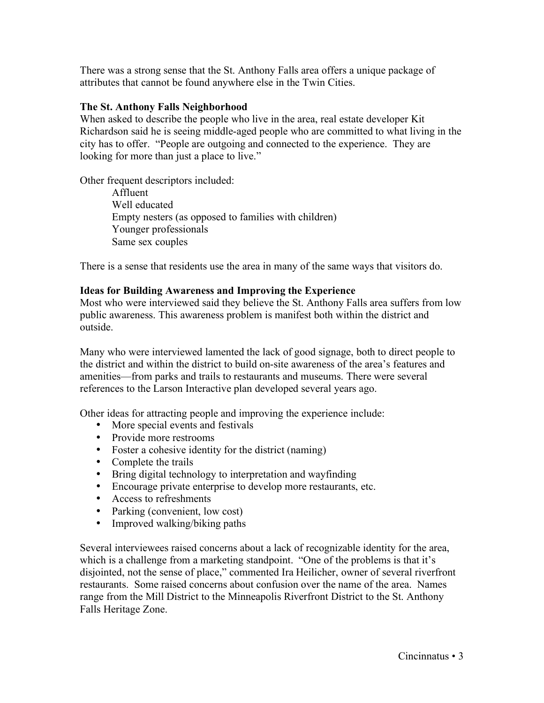There was a strong sense that the St. Anthony Falls area offers a unique package of attributes that cannot be found anywhere else in the Twin Cities.

#### **The St. Anthony Falls Neighborhood**

When asked to describe the people who live in the area, real estate developer Kit Richardson said he is seeing middle-aged people who are committed to what living in the city has to offer. "People are outgoing and connected to the experience. They are looking for more than just a place to live."

Other frequent descriptors included:

Affluent Well educated Empty nesters (as opposed to families with children) Younger professionals Same sex couples

There is a sense that residents use the area in many of the same ways that visitors do.

## **Ideas for Building Awareness and Improving the Experience**

Most who were interviewed said they believe the St. Anthony Falls area suffers from low public awareness. This awareness problem is manifest both within the district and outside.

Many who were interviewed lamented the lack of good signage, both to direct people to the district and within the district to build on-site awareness of the area's features and amenities—from parks and trails to restaurants and museums. There were several references to the Larson Interactive plan developed several years ago.

Other ideas for attracting people and improving the experience include:

- More special events and festivals
- Provide more restrooms
- Foster a cohesive identity for the district (naming)
- Complete the trails
- Bring digital technology to interpretation and wayfinding
- Encourage private enterprise to develop more restaurants, etc.
- Access to refreshments
- Parking (convenient, low cost)
- Improved walking/biking paths

Several interviewees raised concerns about a lack of recognizable identity for the area, which is a challenge from a marketing standpoint. "One of the problems is that it's disjointed, not the sense of place," commented Ira Heilicher, owner of several riverfront restaurants. Some raised concerns about confusion over the name of the area. Names range from the Mill District to the Minneapolis Riverfront District to the St. Anthony Falls Heritage Zone.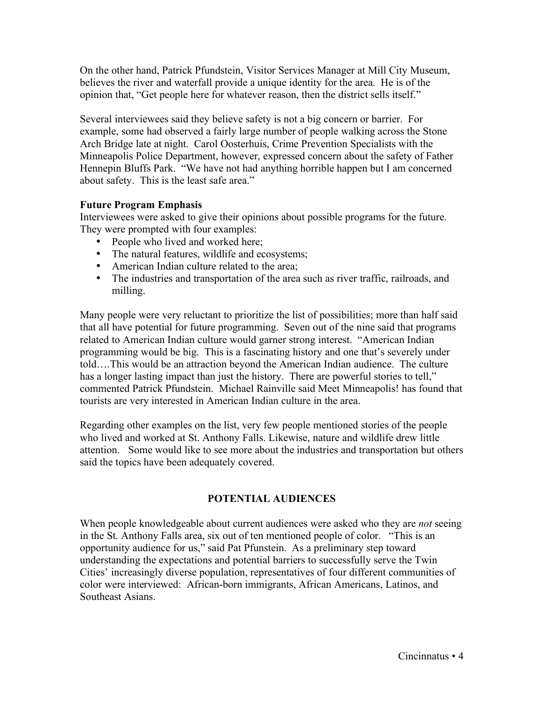On the other hand, Patrick Pfundstein, Visitor Services Manager at Mill City Museum, believes the river and waterfall provide a unique identity for the area. He is of the opinion that, "Get people here for whatever reason, then the district sells itself."

Several interviewees said they believe safety is not a big concern or barrier. For example, some had observed a fairly large number of people walking across the Stone Arch Bridge late at night. Carol Oosterhuis, Crime Prevention Specialists with the Minneapolis Police Department, however, expressed concern about the safety of Father Hennepin Bluffs Park. "We have not had anything horrible happen but I am concerned about safety. This is the least safe area."

## **Future Program Emphasis**

Interviewees were asked to give their opinions about possible programs for the future. They were prompted with four examples:

- People who lived and worked here;
- The natural features, wildlife and ecosystems;
- American Indian culture related to the area;
- The industries and transportation of the area such as river traffic, railroads, and milling.

Many people were very reluctant to prioritize the list of possibilities; more than half said that all have potential for future programming. Seven out of the nine said that programs related to American Indian culture would garner strong interest. "American Indian programming would be big. This is a fascinating history and one that's severely under told….This would be an attraction beyond the American Indian audience. The culture has a longer lasting impact than just the history. There are powerful stories to tell," commented Patrick Pfundstein. Michael Rainville said Meet Minneapolis! has found that tourists are very interested in American Indian culture in the area.

Regarding other examples on the list, very few people mentioned stories of the people who lived and worked at St. Anthony Falls. Likewise, nature and wildlife drew little attention. Some would like to see more about the industries and transportation but others said the topics have been adequately covered.

## **POTENTIAL AUDIENCES**

When people knowledgeable about current audiences were asked who they are *not* seeing in the St. Anthony Falls area, six out of ten mentioned people of color. "This is an opportunity audience for us," said Pat Pfunstein. As a preliminary step toward understanding the expectations and potential barriers to successfully serve the Twin Cities' increasingly diverse population, representatives of four different communities of color were interviewed: African-born immigrants, African Americans, Latinos, and Southeast Asians.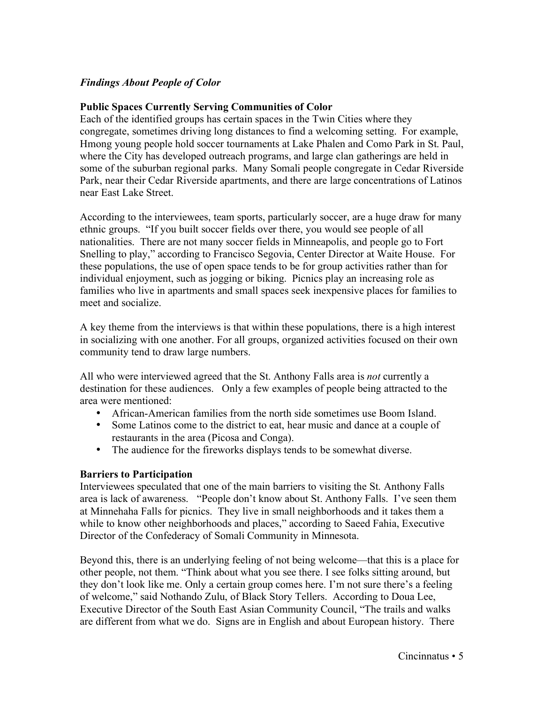## *Findings About People of Color*

## **Public Spaces Currently Serving Communities of Color**

Each of the identified groups has certain spaces in the Twin Cities where they congregate, sometimes driving long distances to find a welcoming setting. For example, Hmong young people hold soccer tournaments at Lake Phalen and Como Park in St. Paul, where the City has developed outreach programs, and large clan gatherings are held in some of the suburban regional parks. Many Somali people congregate in Cedar Riverside Park, near their Cedar Riverside apartments, and there are large concentrations of Latinos near East Lake Street.

According to the interviewees, team sports, particularly soccer, are a huge draw for many ethnic groups. "If you built soccer fields over there, you would see people of all nationalities. There are not many soccer fields in Minneapolis, and people go to Fort Snelling to play," according to Francisco Segovia, Center Director at Waite House. For these populations, the use of open space tends to be for group activities rather than for individual enjoyment, such as jogging or biking. Picnics play an increasing role as families who live in apartments and small spaces seek inexpensive places for families to meet and socialize.

A key theme from the interviews is that within these populations, there is a high interest in socializing with one another. For all groups, organized activities focused on their own community tend to draw large numbers.

All who were interviewed agreed that the St. Anthony Falls area is *not* currently a destination for these audiences. Only a few examples of people being attracted to the area were mentioned:

- African-American families from the north side sometimes use Boom Island.
- Some Latinos come to the district to eat, hear music and dance at a couple of restaurants in the area (Picosa and Conga).
- The audience for the fireworks displays tends to be somewhat diverse.

#### **Barriers to Participation**

Interviewees speculated that one of the main barriers to visiting the St. Anthony Falls area is lack of awareness. "People don't know about St. Anthony Falls. I've seen them at Minnehaha Falls for picnics. They live in small neighborhoods and it takes them a while to know other neighborhoods and places," according to Saeed Fahia, Executive Director of the Confederacy of Somali Community in Minnesota.

Beyond this, there is an underlying feeling of not being welcome—that this is a place for other people, not them. "Think about what you see there. I see folks sitting around, but they don't look like me. Only a certain group comes here. I'm not sure there's a feeling of welcome," said Nothando Zulu, of Black Story Tellers. According to Doua Lee, Executive Director of the South East Asian Community Council, "The trails and walks are different from what we do. Signs are in English and about European history. There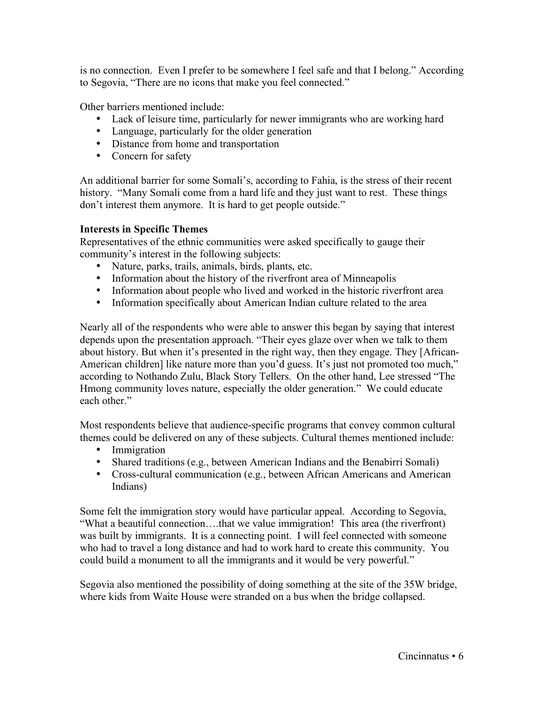is no connection. Even I prefer to be somewhere I feel safe and that I belong." According to Segovia, "There are no icons that make you feel connected."

Other barriers mentioned include:

- Lack of leisure time, particularly for newer immigrants who are working hard
- Language, particularly for the older generation
- Distance from home and transportation
- Concern for safety

An additional barrier for some Somali's, according to Fahia, is the stress of their recent history. "Many Somali come from a hard life and they just want to rest. These things don't interest them anymore. It is hard to get people outside."

## **Interests in Specific Themes**

Representatives of the ethnic communities were asked specifically to gauge their community's interest in the following subjects:

- Nature, parks, trails, animals, birds, plants, etc.
- Information about the history of the riverfront area of Minneapolis
- Information about people who lived and worked in the historic riverfront area
- Information specifically about American Indian culture related to the area

Nearly all of the respondents who were able to answer this began by saying that interest depends upon the presentation approach. "Their eyes glaze over when we talk to them about history. But when it's presented in the right way, then they engage. They [African-American children] like nature more than you'd guess. It's just not promoted too much," according to Nothando Zulu, Black Story Tellers. On the other hand, Lee stressed "The Hmong community loves nature, especially the older generation." We could educate each other."

Most respondents believe that audience-specific programs that convey common cultural themes could be delivered on any of these subjects. Cultural themes mentioned include:

- Immigration
- Shared traditions (e.g., between American Indians and the Benabirri Somali)
- Cross-cultural communication (e.g., between African Americans and American Indians)

Some felt the immigration story would have particular appeal. According to Segovia, "What a beautiful connection….that we value immigration! This area (the riverfront) was built by immigrants. It is a connecting point. I will feel connected with someone who had to travel a long distance and had to work hard to create this community. You could build a monument to all the immigrants and it would be very powerful."

Segovia also mentioned the possibility of doing something at the site of the 35W bridge, where kids from Waite House were stranded on a bus when the bridge collapsed.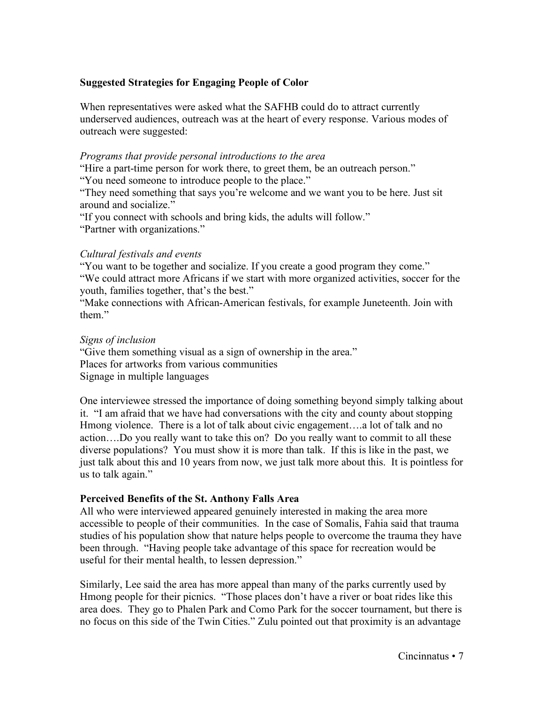# **Suggested Strategies for Engaging People of Color**

When representatives were asked what the SAFHB could do to attract currently underserved audiences, outreach was at the heart of every response. Various modes of outreach were suggested:

## *Programs that provide personal introductions to the area*

"Hire a part-time person for work there, to greet them, be an outreach person."

"You need someone to introduce people to the place."

"They need something that says you're welcome and we want you to be here. Just sit around and socialize."

"If you connect with schools and bring kids, the adults will follow."

"Partner with organizations."

## *Cultural festivals and events*

"You want to be together and socialize. If you create a good program they come." "We could attract more Africans if we start with more organized activities, soccer for the youth, families together, that's the best."

"Make connections with African-American festivals, for example Juneteenth. Join with them."

## *Signs of inclusion*

"Give them something visual as a sign of ownership in the area." Places for artworks from various communities Signage in multiple languages

One interviewee stressed the importance of doing something beyond simply talking about it. "I am afraid that we have had conversations with the city and county about stopping Hmong violence. There is a lot of talk about civic engagement….a lot of talk and no action….Do you really want to take this on? Do you really want to commit to all these diverse populations? You must show it is more than talk. If this is like in the past, we just talk about this and 10 years from now, we just talk more about this. It is pointless for us to talk again."

## **Perceived Benefits of the St. Anthony Falls Area**

All who were interviewed appeared genuinely interested in making the area more accessible to people of their communities. In the case of Somalis, Fahia said that trauma studies of his population show that nature helps people to overcome the trauma they have been through. "Having people take advantage of this space for recreation would be useful for their mental health, to lessen depression."

Similarly, Lee said the area has more appeal than many of the parks currently used by Hmong people for their picnics. "Those places don't have a river or boat rides like this area does. They go to Phalen Park and Como Park for the soccer tournament, but there is no focus on this side of the Twin Cities." Zulu pointed out that proximity is an advantage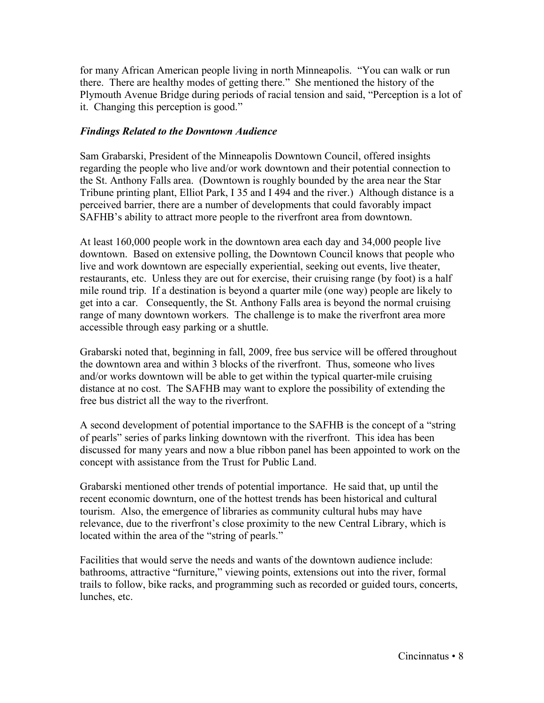for many African American people living in north Minneapolis. "You can walk or run there. There are healthy modes of getting there." She mentioned the history of the Plymouth Avenue Bridge during periods of racial tension and said, "Perception is a lot of it. Changing this perception is good."

## *Findings Related to the Downtown Audience*

Sam Grabarski, President of the Minneapolis Downtown Council, offered insights regarding the people who live and/or work downtown and their potential connection to the St. Anthony Falls area. (Downtown is roughly bounded by the area near the Star Tribune printing plant, Elliot Park, I 35 and I 494 and the river.) Although distance is a perceived barrier, there are a number of developments that could favorably impact SAFHB's ability to attract more people to the riverfront area from downtown.

At least 160,000 people work in the downtown area each day and 34,000 people live downtown. Based on extensive polling, the Downtown Council knows that people who live and work downtown are especially experiential, seeking out events, live theater, restaurants, etc. Unless they are out for exercise, their cruising range (by foot) is a half mile round trip. If a destination is beyond a quarter mile (one way) people are likely to get into a car. Consequently, the St. Anthony Falls area is beyond the normal cruising range of many downtown workers. The challenge is to make the riverfront area more accessible through easy parking or a shuttle.

Grabarski noted that, beginning in fall, 2009, free bus service will be offered throughout the downtown area and within 3 blocks of the riverfront. Thus, someone who lives and/or works downtown will be able to get within the typical quarter-mile cruising distance at no cost. The SAFHB may want to explore the possibility of extending the free bus district all the way to the riverfront.

A second development of potential importance to the SAFHB is the concept of a "string of pearls" series of parks linking downtown with the riverfront. This idea has been discussed for many years and now a blue ribbon panel has been appointed to work on the concept with assistance from the Trust for Public Land.

Grabarski mentioned other trends of potential importance. He said that, up until the recent economic downturn, one of the hottest trends has been historical and cultural tourism. Also, the emergence of libraries as community cultural hubs may have relevance, due to the riverfront's close proximity to the new Central Library, which is located within the area of the "string of pearls."

Facilities that would serve the needs and wants of the downtown audience include: bathrooms, attractive "furniture," viewing points, extensions out into the river, formal trails to follow, bike racks, and programming such as recorded or guided tours, concerts, lunches, etc.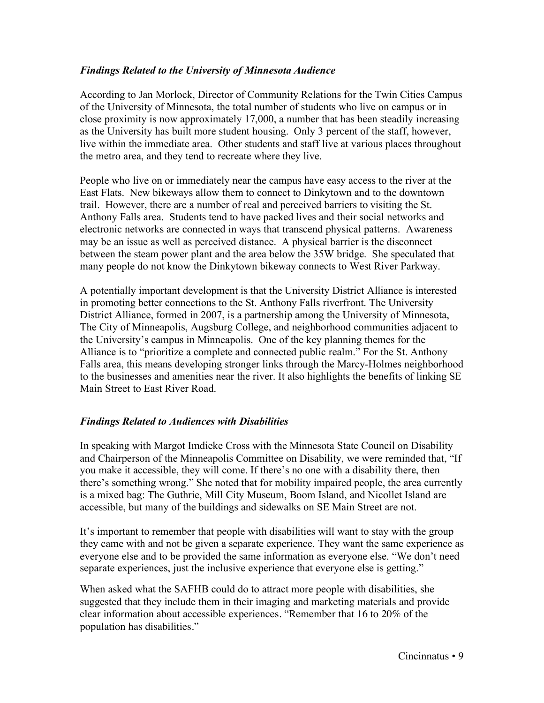## *Findings Related to the University of Minnesota Audience*

According to Jan Morlock, Director of Community Relations for the Twin Cities Campus of the University of Minnesota, the total number of students who live on campus or in close proximity is now approximately 17,000, a number that has been steadily increasing as the University has built more student housing. Only 3 percent of the staff, however, live within the immediate area. Other students and staff live at various places throughout the metro area, and they tend to recreate where they live.

People who live on or immediately near the campus have easy access to the river at the East Flats. New bikeways allow them to connect to Dinkytown and to the downtown trail. However, there are a number of real and perceived barriers to visiting the St. Anthony Falls area. Students tend to have packed lives and their social networks and electronic networks are connected in ways that transcend physical patterns. Awareness may be an issue as well as perceived distance. A physical barrier is the disconnect between the steam power plant and the area below the 35W bridge. She speculated that many people do not know the Dinkytown bikeway connects to West River Parkway.

A potentially important development is that the University District Alliance is interested in promoting better connections to the St. Anthony Falls riverfront. The University District Alliance, formed in 2007, is a partnership among the University of Minnesota, The City of Minneapolis, Augsburg College, and neighborhood communities adjacent to the University's campus in Minneapolis. One of the key planning themes for the Alliance is to "prioritize a complete and connected public realm." For the St. Anthony Falls area, this means developing stronger links through the Marcy-Holmes neighborhood to the businesses and amenities near the river. It also highlights the benefits of linking SE Main Street to East River Road.

## *Findings Related to Audiences with Disabilities*

In speaking with Margot Imdieke Cross with the Minnesota State Council on Disability and Chairperson of the Minneapolis Committee on Disability, we were reminded that, "If you make it accessible, they will come. If there's no one with a disability there, then there's something wrong." She noted that for mobility impaired people, the area currently is a mixed bag: The Guthrie, Mill City Museum, Boom Island, and Nicollet Island are accessible, but many of the buildings and sidewalks on SE Main Street are not.

It's important to remember that people with disabilities will want to stay with the group they came with and not be given a separate experience. They want the same experience as everyone else and to be provided the same information as everyone else. "We don't need separate experiences, just the inclusive experience that everyone else is getting."

When asked what the SAFHB could do to attract more people with disabilities, she suggested that they include them in their imaging and marketing materials and provide clear information about accessible experiences. "Remember that 16 to 20% of the population has disabilities."